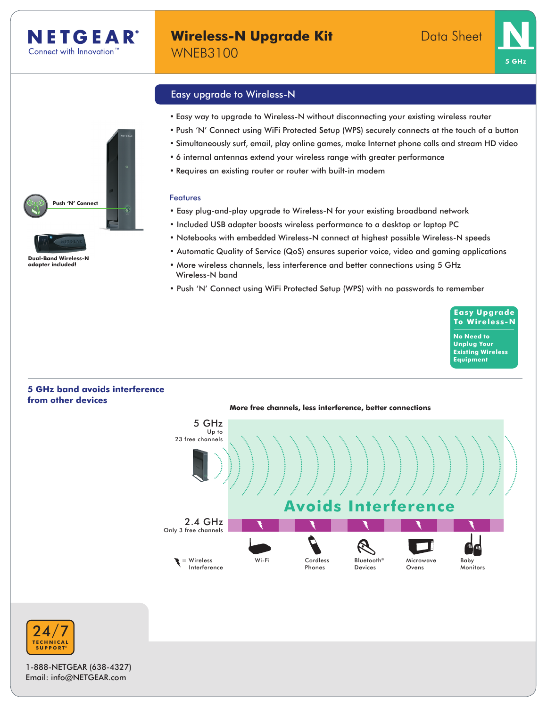





**Dual-Band Wireless-N adapter included!**

# Easy upgrade to Wireless-N

- • Easy way to upgrade to Wireless-N without disconnecting your existing wireless router
- • Push 'N' Connect using WiFi Protected Setup (WPS) securely connects at the touch of a button
- • Simultaneously surf, email, play online games, make Internet phone calls and stream HD video
- • 6 internal antennas extend your wireless range with greater performance
- • Requires an existing router or router with built-in modem

#### Features

- Easy plug-and-play upgrade to Wireless-N for your existing broadband network
- Included USB adapter boosts wireless performance to a desktop or laptop PC
- Notebooks with embedded Wireless-N connect at highest possible Wireless-N speeds
- Automatic Quality of Service (QoS) ensures superior voice, video and gaming applications
- More wireless channels, less interference and better connections using 5 GHz Wireless-N band
- Push 'N' Connect using WiFi Protected Setup (WPS) with no passwords to remember

**Easy Upgrade To Wireless-N No Need to Unplug Your Existing Wireless**

**Equipment**

# **5 GHz band avoids interference from other devices**





1-888-NETGEAR (638-4327) Email: info@NETGEAR.com